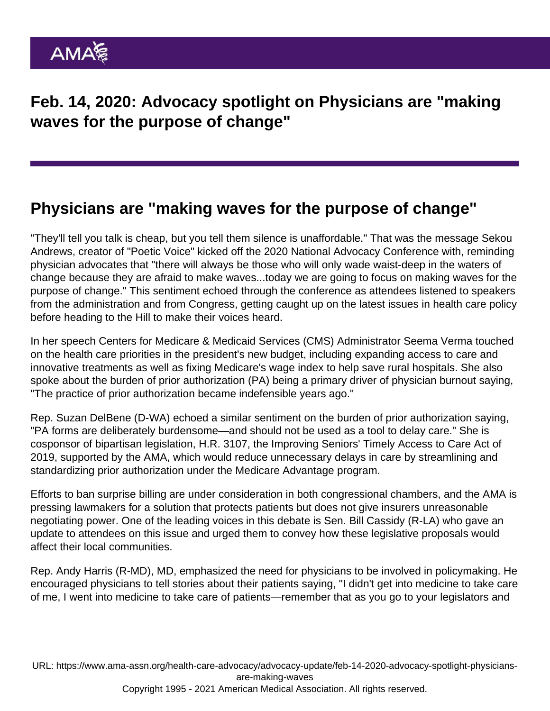Feb. 14, 2020: Advocacy spotlight on Physicians are "making waves for the purpose of change"

## Physicians are "making waves for the purpose of change"

"They'll tell you talk is cheap, but you tell them silence is unaffordable." That was the message Sekou Andrews, creator of "Poetic Voice" kicked off the 2020 National Advocacy Conference with, reminding physician advocates that "there will always be those who will only wade waist-deep in the waters of change because they are afraid to make waves...today we are going to focus on making waves for the purpose of change." This sentiment echoed through the conference as attendees listened to speakers from the administration and from Congress, getting caught up on the latest issues in health care policy before heading to the Hill to make their voices heard.

In her speech Centers for Medicare & Medicaid Services (CMS) [Administrator Seema Verma](https://www.facebook.com/AmericanMedicalAssociation/videos/3003557389694403/?__tn__=HH-R) touched on the health care priorities in the president's new budget, including expanding access to care and innovative treatments as well as fixing Medicare's wage index to help save rural hospitals. She also spoke about the burden of prior authorization (PA) being a primary driver of physician burnout saying, "The practice of prior authorization became indefensible years ago."

Rep. Suzan DelBene (D-WA) echoed a similar sentiment on the burden of prior authorization saying, "PA forms are deliberately burdensome—and should not be used as a tool to delay care." She is cosponsor of bipartisan legislation, H.R. 3107, the Improving Seniors' Timely Access to Care Act of 2019, supported by the AMA, which would reduce unnecessary delays in care by streamlining and standardizing prior authorization under the Medicare Advantage program.

Efforts to ban surprise billing are under consideration in both congressional chambers, and the AMA is pressing lawmakers for a solution that protects patients but does not give insurers unreasonable negotiating power. One of the leading voices in this debate is Sen. Bill Cassidy (R-LA) who gave an update to attendees on this issue and urged them to convey how these legislative proposals would affect their local communities.

Rep. Andy Harris (R-MD), MD, emphasized the need for physicians to be involved in policymaking. He encouraged physicians to tell stories about their patients saying, "I didn't get into medicine to take care of me, I went into medicine to take care of patients—remember that as you go to your legislators and

URL: [https://www.ama-assn.org/health-care-advocacy/advocacy-update/feb-14-2020-advocacy-spotlight-physicians](https://www.ama-assn.org/health-care-advocacy/advocacy-update/feb-14-2020-advocacy-spotlight-physicians-are-making-waves)[are-making-waves](https://www.ama-assn.org/health-care-advocacy/advocacy-update/feb-14-2020-advocacy-spotlight-physicians-are-making-waves) Copyright 1995 - 2021 American Medical Association. All rights reserved.